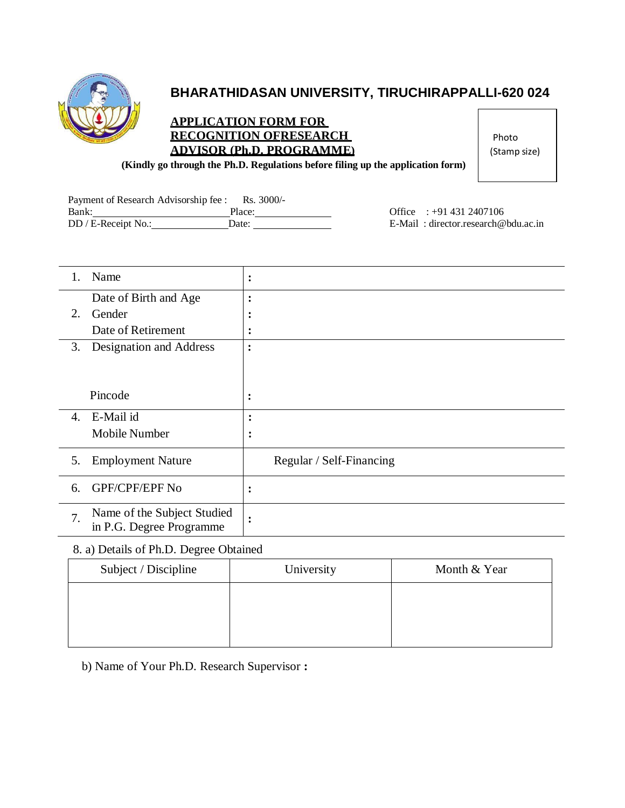

# **BHARATHIDASAN UNIVERSITY, TIRUCHIRAPPALLI-620 024**

### **APPLICATION FORM FOR RECOGNITION OFRESEARCH ADVISOR (Ph.D. PROGRAMME)**

Photo (Stamp size)

**(Kindly go through the Ph.D. Regulations before filing up the application form)**

| Payment of Research Advisorship fee : | $Rs. 3000/-$ |
|---------------------------------------|--------------|
| Bank:                                 | Place:       |
| DD / E-Receipt No.:                   | Date:        |

Office : +91 431 2407106 E-Mail : [director.research@bdu.ac.in](mailto:director.research@bdu.ac.in)

| Name                              | $\bullet$<br>$\bullet$   |
|-----------------------------------|--------------------------|
| Date of Birth and Age             | ٠<br>$\bullet$           |
| 2.<br>Gender                      | ٠<br>$\bullet$           |
| Date of Retirement                | $\bullet$<br>$\bullet$   |
| Designation and Address<br>3.     | $\ddot{\cdot}$           |
|                                   |                          |
|                                   |                          |
| Pincode                           | $\ddot{\cdot}$           |
| E-Mail id<br>$\mathbf{4}$ .       | $\bullet$<br>$\bullet$   |
| Mobile Number                     | $\bullet$<br>$\bullet$   |
|                                   |                          |
| <b>Employment Nature</b><br>5.    | Regular / Self-Financing |
| GPF/CPF/EPF No<br>6.              | $\bullet$                |
|                                   | $\bullet$                |
| Name of the Subject Studied<br>7. | $\bullet$<br>$\bullet$   |
| in P.G. Degree Programme          |                          |

## 8. a) Details of Ph.D. Degree Obtained

| Subject / Discipline | University | Month & Year |
|----------------------|------------|--------------|
|                      |            |              |
|                      |            |              |
|                      |            |              |

b) Name of Your Ph.D. Research Supervisor **:**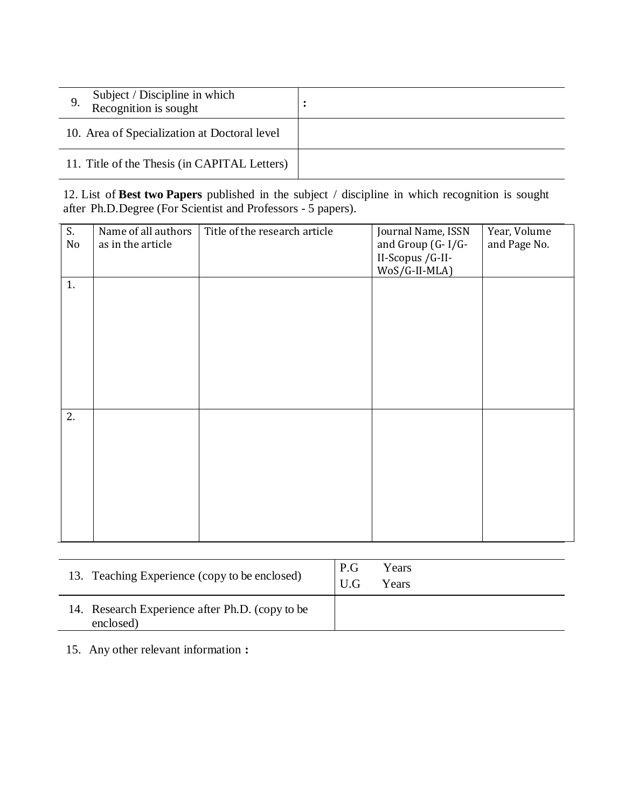| Subject / Discipline in which<br>Recognition is sought |  |
|--------------------------------------------------------|--|
| 10. Area of Specialization at Doctoral level           |  |
| 11. Title of the Thesis (in CAPITAL Letters)           |  |

12. List of **Best two Papers** published in the subject / discipline in which recognition is sought after Ph.D.Degree (For Scientist and Professors - 5 papers).

| S.<br>No | Name of all authors<br>as in the article | Title of the research article | Journal Name, ISSN<br>and Group (G-I/G-<br>II-Scopus / G-II-<br>WoS/G-II-MLA) | Year, Volume<br>and Page No. |
|----------|------------------------------------------|-------------------------------|-------------------------------------------------------------------------------|------------------------------|
| 1.       |                                          |                               |                                                                               |                              |
| 2.       |                                          |                               |                                                                               |                              |

| 13. Teaching Experience (copy to be enclosed)                | P.G<br>Years<br>U.G<br>Years |  |
|--------------------------------------------------------------|------------------------------|--|
| 14. Research Experience after Ph.D. (copy to be<br>enclosed) |                              |  |

15. Any other relevant information **:**